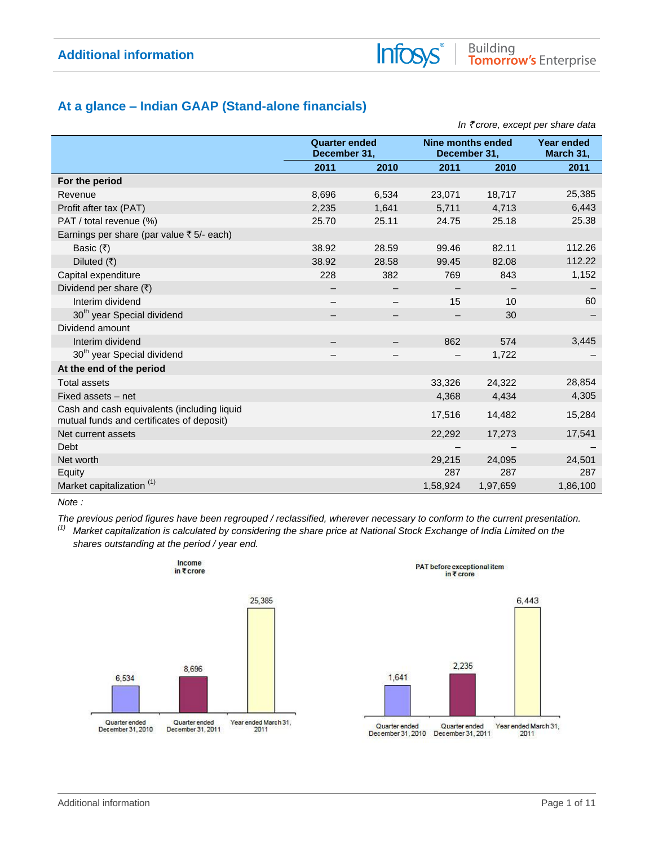## **At a glance – Indian GAAP (Stand-alone financials)**

|                                                                                          |       |                                      |          |                                          | III \ CIUIE, EXCEDI DEI SIIGIE GAIG |
|------------------------------------------------------------------------------------------|-------|--------------------------------------|----------|------------------------------------------|-------------------------------------|
|                                                                                          |       | <b>Quarter ended</b><br>December 31, |          | <b>Nine months ended</b><br>December 31, | <b>Year ended</b><br>March 31,      |
|                                                                                          | 2011  | 2010                                 | 2011     | 2010                                     | 2011                                |
| For the period                                                                           |       |                                      |          |                                          |                                     |
| Revenue                                                                                  | 8,696 | 6,534                                | 23,071   | 18,717                                   | 25,385                              |
| Profit after tax (PAT)                                                                   | 2,235 | 1,641                                | 5,711    | 4,713                                    | 6,443                               |
| PAT / total revenue (%)                                                                  | 25.70 | 25.11                                | 24.75    | 25.18                                    | 25.38                               |
| Earnings per share (par value ₹ 5/- each)                                                |       |                                      |          |                                          |                                     |
| Basic $(₹)$                                                                              | 38.92 | 28.59                                | 99.46    | 82.11                                    | 112.26                              |
| Diluted $(\overline{\tau})$                                                              | 38.92 | 28.58                                | 99.45    | 82.08                                    | 112.22                              |
| Capital expenditure                                                                      | 228   | 382                                  | 769      | 843                                      | 1,152                               |
| Dividend per share $(\bar{x})$                                                           |       |                                      |          |                                          |                                     |
| Interim dividend                                                                         |       |                                      | 15       | 10                                       | 60                                  |
| 30 <sup>th</sup> year Special dividend                                                   |       |                                      |          | 30                                       |                                     |
| Dividend amount                                                                          |       |                                      |          |                                          |                                     |
| Interim dividend                                                                         |       |                                      | 862      | 574                                      | 3,445                               |
| 30 <sup>th</sup> year Special dividend                                                   |       |                                      |          | 1,722                                    |                                     |
| At the end of the period                                                                 |       |                                      |          |                                          |                                     |
| <b>Total assets</b>                                                                      |       |                                      | 33,326   | 24,322                                   | 28,854                              |
| Fixed assets - net                                                                       |       |                                      | 4,368    | 4,434                                    | 4,305                               |
| Cash and cash equivalents (including liquid<br>mutual funds and certificates of deposit) |       |                                      | 17,516   | 14,482                                   | 15,284                              |
| Net current assets                                                                       |       |                                      | 22,292   | 17,273                                   | 17,541                              |
| Debt                                                                                     |       |                                      |          |                                          |                                     |
| Net worth                                                                                |       |                                      | 29,215   | 24,095                                   | 24,501                              |
| Equity                                                                                   |       |                                      | 287      | 287                                      | 287                                 |
| Market capitalization <sup>(1)</sup>                                                     |       |                                      | 1,58,924 | 1,97,659                                 | 1,86,100                            |

**Infos** 

5

*Note :* 

*The previous period figures have been regrouped / reclassified, wherever necessary to conform to the current presentation.*

*(1) Market capitalization is calculated by considering the share price at National Stock Exchange of India Limited on the shares outstanding at the period / year end.* 





PAT before exceptional item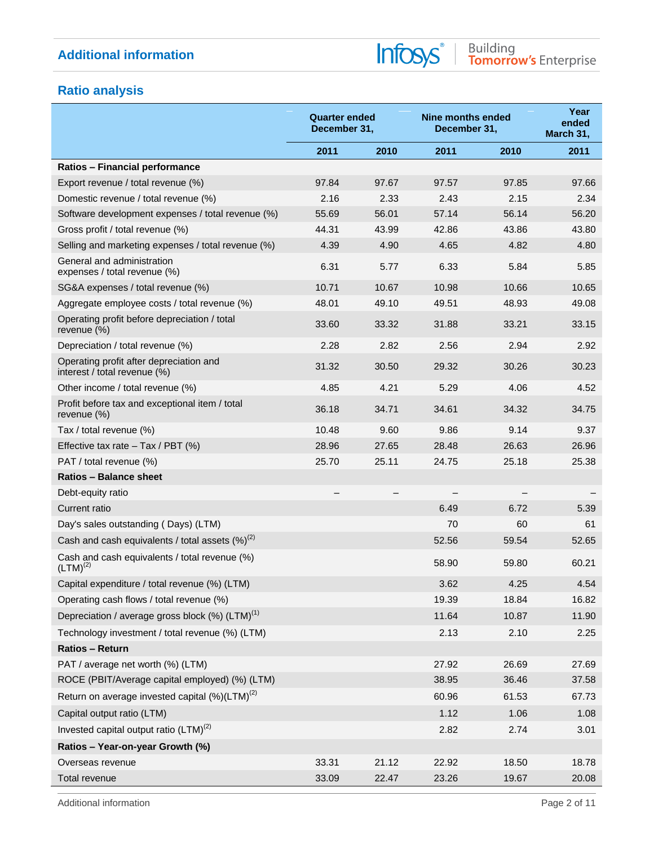Infosys®

## **Ratio analysis**

|                                                                         | <b>Quarter ended</b><br>December 31, |       |       | <b>Nine months ended</b><br>December 31, | Year<br>ended<br>March 31, |
|-------------------------------------------------------------------------|--------------------------------------|-------|-------|------------------------------------------|----------------------------|
|                                                                         | 2011                                 | 2010  | 2011  | 2010                                     | 2011                       |
| Ratios - Financial performance                                          |                                      |       |       |                                          |                            |
| Export revenue / total revenue (%)                                      | 97.84                                | 97.67 | 97.57 | 97.85                                    | 97.66                      |
| Domestic revenue / total revenue (%)                                    | 2.16                                 | 2.33  | 2.43  | 2.15                                     | 2.34                       |
| Software development expenses / total revenue (%)                       | 55.69                                | 56.01 | 57.14 | 56.14                                    | 56.20                      |
| Gross profit / total revenue (%)                                        | 44.31                                | 43.99 | 42.86 | 43.86                                    | 43.80                      |
| Selling and marketing expenses / total revenue (%)                      | 4.39                                 | 4.90  | 4.65  | 4.82                                     | 4.80                       |
| General and administration<br>expenses / total revenue (%)              | 6.31                                 | 5.77  | 6.33  | 5.84                                     | 5.85                       |
| SG&A expenses / total revenue (%)                                       | 10.71                                | 10.67 | 10.98 | 10.66                                    | 10.65                      |
| Aggregate employee costs / total revenue (%)                            | 48.01                                | 49.10 | 49.51 | 48.93                                    | 49.08                      |
| Operating profit before depreciation / total<br>revenue (%)             | 33.60                                | 33.32 | 31.88 | 33.21                                    | 33.15                      |
| Depreciation / total revenue (%)                                        | 2.28                                 | 2.82  | 2.56  | 2.94                                     | 2.92                       |
| Operating profit after depreciation and<br>interest / total revenue (%) | 31.32                                | 30.50 | 29.32 | 30.26                                    | 30.23                      |
| Other income / total revenue (%)                                        | 4.85                                 | 4.21  | 5.29  | 4.06                                     | 4.52                       |
| Profit before tax and exceptional item / total<br>revenue $(\%)$        | 36.18                                | 34.71 | 34.61 | 34.32                                    | 34.75                      |
| Tax / total revenue (%)                                                 | 10.48                                | 9.60  | 9.86  | 9.14                                     | 9.37                       |
| Effective tax rate $-$ Tax / PBT (%)                                    | 28.96                                | 27.65 | 28.48 | 26.63                                    | 26.96                      |
| PAT / total revenue (%)                                                 | 25.70                                | 25.11 | 24.75 | 25.18                                    | 25.38                      |
| <b>Ratios - Balance sheet</b>                                           |                                      |       |       |                                          |                            |
| Debt-equity ratio                                                       |                                      |       |       |                                          |                            |
| Current ratio                                                           |                                      |       | 6.49  | 6.72                                     | 5.39                       |
| Day's sales outstanding (Days) (LTM)                                    |                                      |       | 70    | 60                                       | 61                         |
| Cash and cash equivalents / total assets $(\%)^{(2)}$                   |                                      |       | 52.56 | 59.54                                    | 52.65                      |
| Cash and cash equivalents / total revenue (%)<br>$(LTM)^{(2)}$          |                                      |       | 58.90 | 59.80                                    | 60.21                      |
| Capital expenditure / total revenue (%) (LTM)                           |                                      |       | 3.62  | 4.25                                     | 4.54                       |
| Operating cash flows / total revenue (%)                                |                                      |       | 19.39 | 18.84                                    | 16.82                      |
| Depreciation / average gross block $(\%)$ (LTM) <sup>(1)</sup>          |                                      |       | 11.64 | 10.87                                    | 11.90                      |
| Technology investment / total revenue (%) (LTM)                         |                                      |       | 2.13  | 2.10                                     | 2.25                       |
| <b>Ratios - Return</b>                                                  |                                      |       |       |                                          |                            |
| PAT / average net worth (%) (LTM)                                       |                                      |       | 27.92 | 26.69                                    | 27.69                      |
| ROCE (PBIT/Average capital employed) (%) (LTM)                          |                                      |       | 38.95 | 36.46                                    | 37.58                      |
| Return on average invested capital $(\%)$ (LTM) <sup>(2)</sup>          |                                      |       | 60.96 | 61.53                                    | 67.73                      |
| Capital output ratio (LTM)                                              |                                      |       | 1.12  | 1.06                                     | 1.08                       |
| Invested capital output ratio $(LTM)^{(2)}$                             |                                      |       | 2.82  | 2.74                                     | 3.01                       |
| Ratios - Year-on-year Growth (%)                                        |                                      |       |       |                                          |                            |
| Overseas revenue                                                        | 33.31                                | 21.12 | 22.92 | 18.50                                    | 18.78                      |
| Total revenue                                                           | 33.09                                | 22.47 | 23.26 | 19.67                                    | 20.08                      |

Additional information **Page 2 of 11**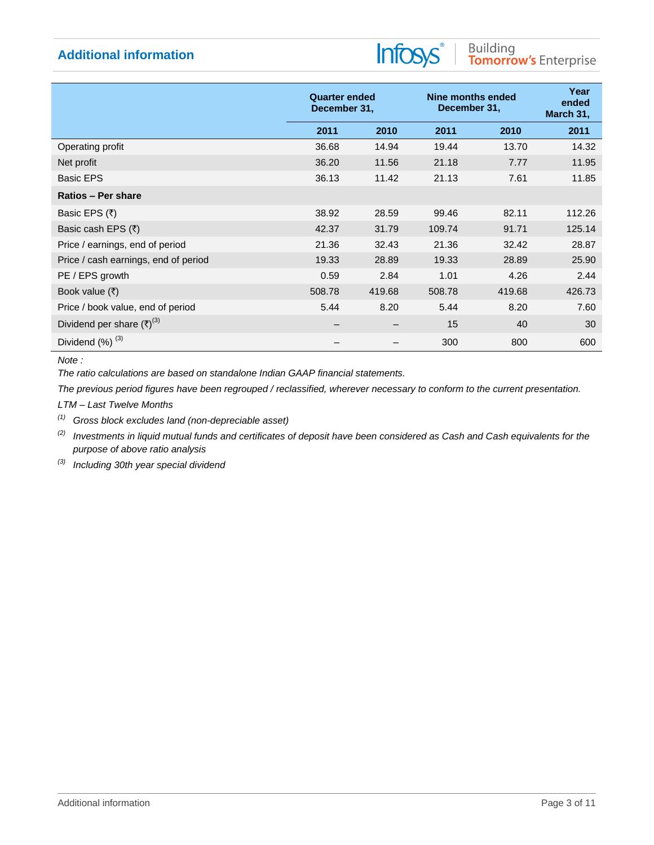# Infosys®

|                                      | <b>Quarter ended</b><br>December 31, |        |        | Nine months ended<br>December 31, |        |
|--------------------------------------|--------------------------------------|--------|--------|-----------------------------------|--------|
|                                      | 2011                                 | 2010   | 2011   | 2010                              | 2011   |
| Operating profit                     | 36.68                                | 14.94  | 19.44  | 13.70                             | 14.32  |
| Net profit                           | 36.20                                | 11.56  | 21.18  | 7.77                              | 11.95  |
| <b>Basic EPS</b>                     | 36.13                                | 11.42  | 21.13  | 7.61                              | 11.85  |
| Ratios - Per share                   |                                      |        |        |                                   |        |
| Basic EPS (₹)                        | 38.92                                | 28.59  | 99.46  | 82.11                             | 112.26 |
| Basic cash EPS (₹)                   | 42.37                                | 31.79  | 109.74 | 91.71                             | 125.14 |
| Price / earnings, end of period      | 21.36                                | 32.43  | 21.36  | 32.42                             | 28.87  |
| Price / cash earnings, end of period | 19.33                                | 28.89  | 19.33  | 28.89                             | 25.90  |
| PE / EPS growth                      | 0.59                                 | 2.84   | 1.01   | 4.26                              | 2.44   |
| Book value $(₹)$                     | 508.78                               | 419.68 | 508.78 | 419.68                            | 426.73 |
| Price / book value, end of period    | 5.44                                 | 8.20   | 5.44   | 8.20                              | 7.60   |
| Dividend per share $(\bar{x})^{(3)}$ |                                      |        | 15     | 40                                | 30     |
| Dividend $(\%)$ <sup>(3)</sup>       |                                      |        | 300    | 800                               | 600    |

*Note :*

*The ratio calculations are based on standalone Indian GAAP financial statements.* 

*The previous period figures have been regrouped / reclassified, wherever necessary to conform to the current presentation.*

*LTM – Last Twelve Months* 

*(1) Gross block excludes land (non-depreciable asset)*

*(2) Investments in liquid mutual funds and certificates of deposit have been considered as Cash and Cash equivalents for the purpose of above ratio analysis* 

*(3) Including 30th year special dividend*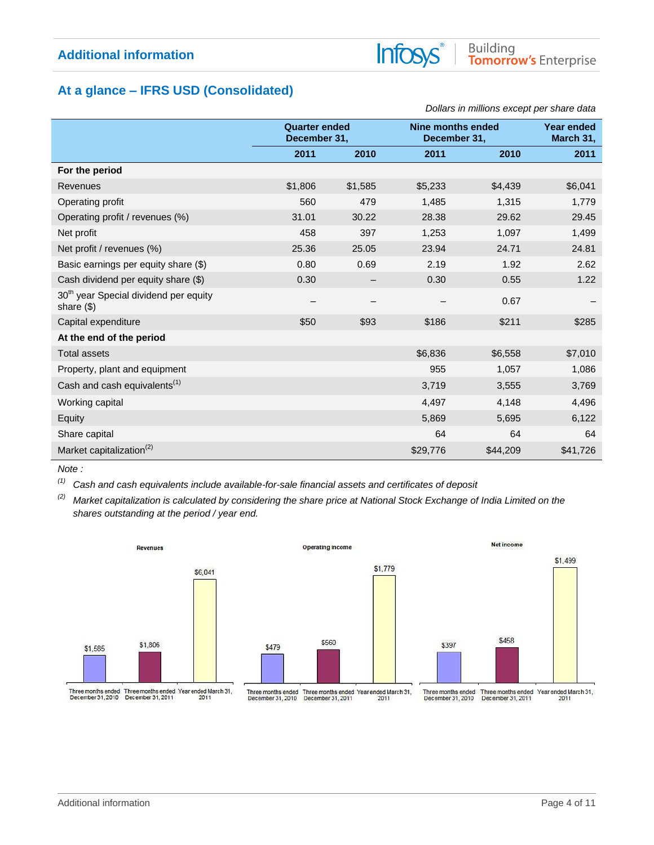# Building<br>Tomorrow's Enterprise

## **At a glance – IFRS USD (Consolidated)**

|                                                                    |                                      |         |          | Dollars in millions except per share data |          |
|--------------------------------------------------------------------|--------------------------------------|---------|----------|-------------------------------------------|----------|
|                                                                    | <b>Quarter ended</b><br>December 31, |         |          | Nine months ended<br>December 31,         |          |
|                                                                    | 2011                                 | 2010    | 2011     | 2010                                      | 2011     |
| For the period                                                     |                                      |         |          |                                           |          |
| <b>Revenues</b>                                                    | \$1,806                              | \$1,585 | \$5,233  | \$4,439                                   | \$6,041  |
| Operating profit                                                   | 560                                  | 479     | 1,485    | 1,315                                     | 1,779    |
| Operating profit / revenues (%)                                    | 31.01                                | 30.22   | 28.38    | 29.62                                     | 29.45    |
| Net profit                                                         | 458                                  | 397     | 1,253    | 1,097                                     | 1,499    |
| Net profit / revenues (%)                                          | 25.36                                | 25.05   | 23.94    | 24.71                                     | 24.81    |
| Basic earnings per equity share (\$)                               | 0.80                                 | 0.69    | 2.19     | 1.92                                      | 2.62     |
| Cash dividend per equity share (\$)                                | 0.30                                 |         | 0.30     | 0.55                                      | 1.22     |
| 30 <sup>th</sup> year Special dividend per equity<br>share $($ \$) |                                      |         |          | 0.67                                      |          |
| Capital expenditure                                                | \$50                                 | \$93    | \$186    | \$211                                     | \$285    |
| At the end of the period                                           |                                      |         |          |                                           |          |
| <b>Total assets</b>                                                |                                      |         | \$6,836  | \$6,558                                   | \$7,010  |
| Property, plant and equipment                                      |                                      |         | 955      | 1,057                                     | 1,086    |
| Cash and cash equivalents <sup>(1)</sup>                           |                                      |         | 3,719    | 3,555                                     | 3,769    |
| Working capital                                                    |                                      |         | 4,497    | 4,148                                     | 4,496    |
| Equity                                                             |                                      |         | 5,869    | 5,695                                     | 6,122    |
| Share capital                                                      |                                      |         | 64       | 64                                        | 64       |
| Market capitalization <sup>(2)</sup>                               |                                      |         | \$29,776 | \$44,209                                  | \$41,726 |

**Infos** 

*Note :* 

*(1) Cash and cash equivalents include available-for-sale financial assets and certificates of deposit* 

*(2) Market capitalization is calculated by considering the share price at National Stock Exchange of India Limited on the shares outstanding at the period / year end.*

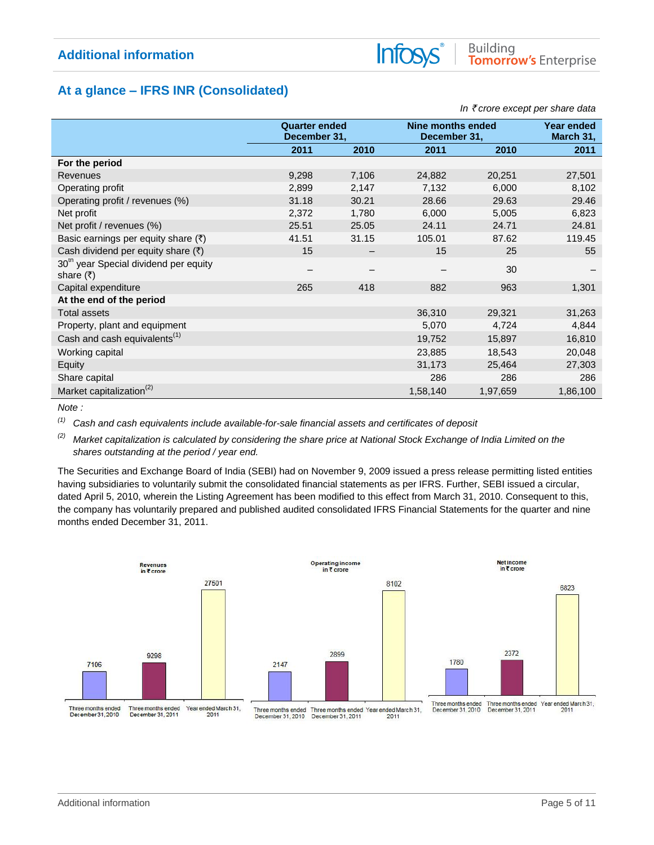## **At a glance – IFRS INR (Consolidated)**

|                                                                                |                                      |                          |          |                                   | In ₹ crore except per share data |
|--------------------------------------------------------------------------------|--------------------------------------|--------------------------|----------|-----------------------------------|----------------------------------|
|                                                                                | <b>Quarter ended</b><br>December 31, |                          |          | Nine months ended<br>December 31, |                                  |
|                                                                                | 2011                                 | 2010                     | 2011     | 2010                              | 2011                             |
| For the period                                                                 |                                      |                          |          |                                   |                                  |
| Revenues                                                                       | 9,298                                | 7,106                    | 24,882   | 20,251                            | 27,501                           |
| Operating profit                                                               | 2,899                                | 2,147                    | 7,132    | 6,000                             | 8,102                            |
| Operating profit / revenues (%)                                                | 31.18                                | 30.21                    | 28.66    | 29.63                             | 29.46                            |
| Net profit                                                                     | 2,372                                | 1,780                    | 6,000    | 5,005                             | 6,823                            |
| Net profit / revenues (%)                                                      | 25.51                                | 25.05                    | 24.11    | 24.71                             | 24.81                            |
| Basic earnings per equity share $(\bar{x})$                                    | 41.51                                | 31.15                    | 105.01   | 87.62                             | 119.45                           |
| Cash dividend per equity share $(\bar{x})$                                     | 15                                   | $\overline{\phantom{m}}$ | 15       | 25                                | 55                               |
| 30 <sup>th</sup> year Special dividend per equity<br>share $(\overline{\tau})$ |                                      |                          |          | 30                                |                                  |
| Capital expenditure                                                            | 265                                  | 418                      | 882      | 963                               | 1,301                            |
| At the end of the period                                                       |                                      |                          |          |                                   |                                  |
| <b>Total assets</b>                                                            |                                      |                          | 36,310   | 29,321                            | 31,263                           |
| Property, plant and equipment                                                  |                                      |                          | 5,070    | 4,724                             | 4,844                            |
| Cash and cash equivalents <sup>(1)</sup>                                       |                                      |                          | 19,752   | 15,897                            | 16,810                           |
| Working capital                                                                |                                      |                          | 23,885   | 18,543                            | 20,048                           |
| Equity                                                                         |                                      |                          | 31,173   | 25,464                            | 27,303                           |
| Share capital                                                                  |                                      |                          | 286      | 286                               | 286                              |
| Market capitalization <sup>(2)</sup>                                           |                                      |                          | 1,58,140 | 1,97,659                          | 1,86,100                         |

Info

*Note :* 

*(1) Cash and cash equivalents include available-for-sale financial assets and certificates of deposit* 

*(2) Market capitalization is calculated by considering the share price at National Stock Exchange of India Limited on the shares outstanding at the period / year end.*

The Securities and Exchange Board of India (SEBI) had on November 9, 2009 issued a press release permitting listed entities having subsidiaries to voluntarily submit the consolidated financial statements as per IFRS. Further, SEBI issued a circular, dated April 5, 2010, wherein the Listing Agreement has been modified to this effect from March 31, 2010. Consequent to this, the company has voluntarily prepared and published audited consolidated IFRS Financial Statements for the quarter and nine months ended December 31, 2011.

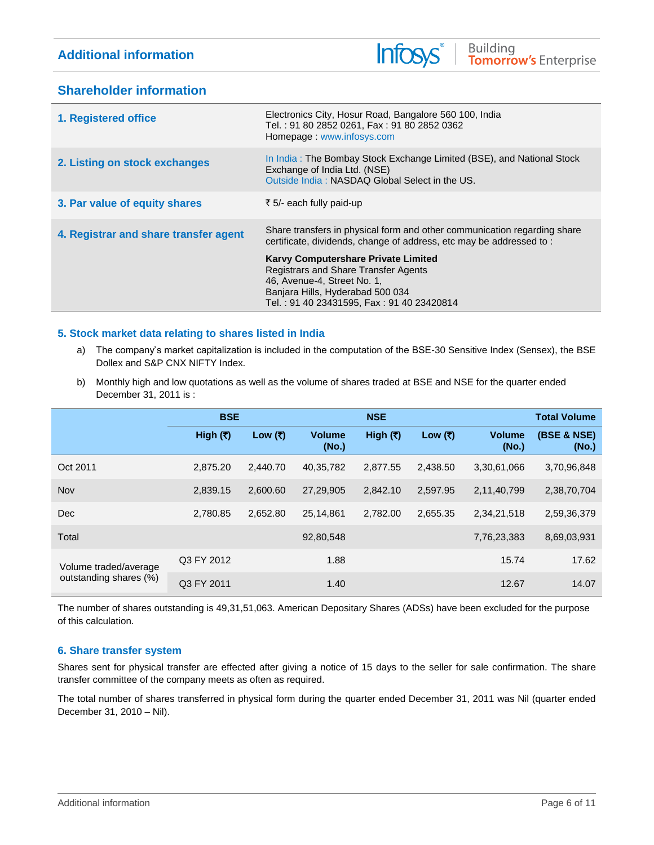## Info

## **Shareholder information**

| 1. Registered office                  | Electronics City, Hosur Road, Bangalore 560 100, India<br>Tel.: 91 80 2852 0261, Fax: 91 80 2852 0362<br>Homepage: www.infosys.com                                                                        |
|---------------------------------------|-----------------------------------------------------------------------------------------------------------------------------------------------------------------------------------------------------------|
| 2. Listing on stock exchanges         | In India: The Bombay Stock Exchange Limited (BSE), and National Stock<br>Exchange of India Ltd. (NSE)<br>Outside India: NASDAQ Global Select in the US.                                                   |
| 3. Par value of equity shares         | ₹ 5/- each fully paid-up                                                                                                                                                                                  |
| 4. Registrar and share transfer agent | Share transfers in physical form and other communication regarding share<br>certificate, dividends, change of address, etc may be addressed to:                                                           |
|                                       | <b>Karvy Computershare Private Limited</b><br><b>Registrars and Share Transfer Agents</b><br>46, Avenue-4, Street No. 1,<br>Banjara Hills, Hyderabad 500 034<br>Tel.: 91 40 23431595, Fax: 91 40 23420814 |

## **5. Stock market data relating to shares listed in India**

- a) The company's market capitalization is included in the computation of the BSE-30 Sensitive Index (Sensex), the BSE Dollex and S&P CNX NIFTY Index.
- b) Monthly high and low quotations as well as the volume of shares traded at BSE and NSE for the quarter ended December 31, 2011 is :

|                        | <b>BSE</b> |           |                        | <b>NSE</b> |          |                        | <b>Total Volume</b>  |
|------------------------|------------|-----------|------------------------|------------|----------|------------------------|----------------------|
|                        | High (₹)   | Low $(₹)$ | <b>Volume</b><br>(No.) | High (₹)   | Low (₹)  | <b>Volume</b><br>(No.) | (BSE & NSE)<br>(No.) |
| Oct 2011               | 2,875.20   | 2.440.70  | 40,35,782              | 2,877.55   | 2,438.50 | 3,30,61,066            | 3,70,96,848          |
| Nov                    | 2.839.15   | 2.600.60  | 27,29,905              | 2,842.10   | 2.597.95 | 2,11,40,799            | 2,38,70,704          |
| Dec                    | 2,780.85   | 2,652.80  | 25,14,861              | 2,782.00   | 2,655.35 | 2,34,21,518            | 2,59,36,379          |
| Total                  |            |           | 92,80,548              |            |          | 7,76,23,383            | 8,69,03,931          |
| Volume traded/average  | Q3 FY 2012 |           | 1.88                   |            |          | 15.74                  | 17.62                |
| outstanding shares (%) | Q3 FY 2011 |           | 1.40                   |            |          | 12.67                  | 14.07                |

The number of shares outstanding is 49,31,51,063. American Depositary Shares (ADSs) have been excluded for the purpose of this calculation.

## **6. Share transfer system**

Shares sent for physical transfer are effected after giving a notice of 15 days to the seller for sale confirmation. The share transfer committee of the company meets as often as required.

The total number of shares transferred in physical form during the quarter ended December 31, 2011 was Nil (quarter ended December 31, 2010 – Nil).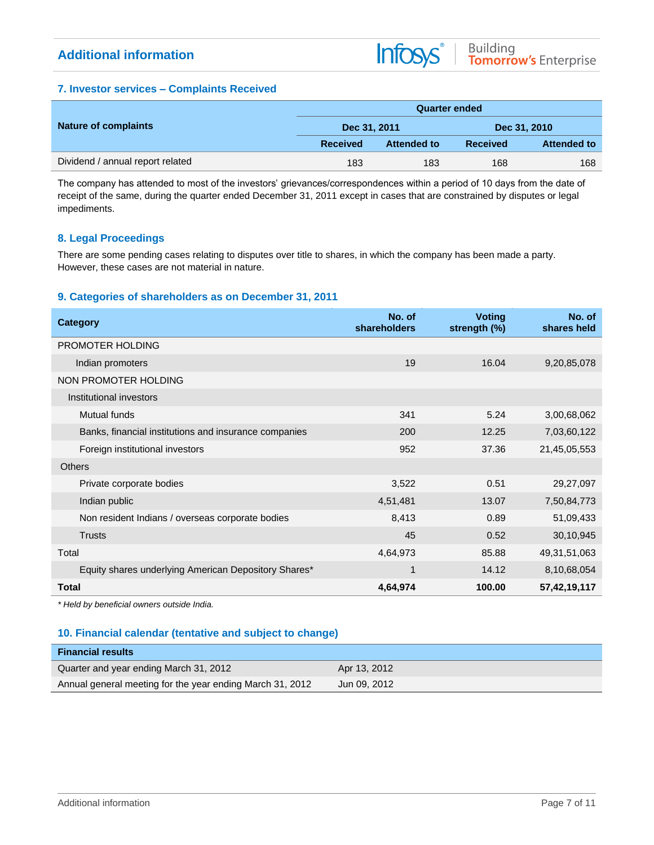## **7. Investor services – Complaints Received**

|                                  | <b>Quarter ended</b> |             |                 |                    |  |  |  |
|----------------------------------|----------------------|-------------|-----------------|--------------------|--|--|--|
| <b>Nature of complaints</b>      | Dec 31, 2011         |             | Dec 31, 2010    |                    |  |  |  |
|                                  | <b>Received</b>      | Attended to | <b>Received</b> | <b>Attended to</b> |  |  |  |
| Dividend / annual report related | 183                  | 183         | 168             | 168                |  |  |  |

Infosys®

The company has attended to most of the investors' grievances/correspondences within a period of 10 days from the date of receipt of the same, during the quarter ended December 31, 2011 except in cases that are constrained by disputes or legal impediments.

## **8. Legal Proceedings**

There are some pending cases relating to disputes over title to shares, in which the company has been made a party. However, these cases are not material in nature.

## **9. Categories of shareholders as on December 31, 2011**

| <b>Category</b>                                       | No. of<br>shareholders | <b>Voting</b><br>strength (%) | No. of<br>shares held |
|-------------------------------------------------------|------------------------|-------------------------------|-----------------------|
| PROMOTER HOLDING                                      |                        |                               |                       |
| Indian promoters                                      | 19                     | 16.04                         | 9,20,85,078           |
| NON PROMOTER HOLDING                                  |                        |                               |                       |
| Institutional investors                               |                        |                               |                       |
| Mutual funds                                          | 341                    | 5.24                          | 3,00,68,062           |
| Banks, financial institutions and insurance companies | 200                    | 12.25                         | 7,03,60,122           |
| Foreign institutional investors                       | 952                    | 37.36                         | 21,45,05,553          |
| Others                                                |                        |                               |                       |
| Private corporate bodies                              | 3,522                  | 0.51                          | 29,27,097             |
| Indian public                                         | 4,51,481               | 13.07                         | 7,50,84,773           |
| Non resident Indians / overseas corporate bodies      | 8,413                  | 0.89                          | 51,09,433             |
| <b>Trusts</b>                                         | 45                     | 0.52                          | 30,10,945             |
| Total                                                 | 4,64,973               | 85.88                         | 49, 31, 51, 063       |
| Equity shares underlying American Depository Shares*  |                        | 14.12                         | 8,10,68,054           |
| <b>Total</b>                                          | 4,64,974               | 100.00                        | 57,42,19,117          |

*\* Held by beneficial owners outside India.*

## **10. Financial calendar (tentative and subject to change)**

| <b>Financial results</b>                                  |              |
|-----------------------------------------------------------|--------------|
| Quarter and year ending March 31, 2012                    | Apr 13, 2012 |
| Annual general meeting for the year ending March 31, 2012 | Jun 09, 2012 |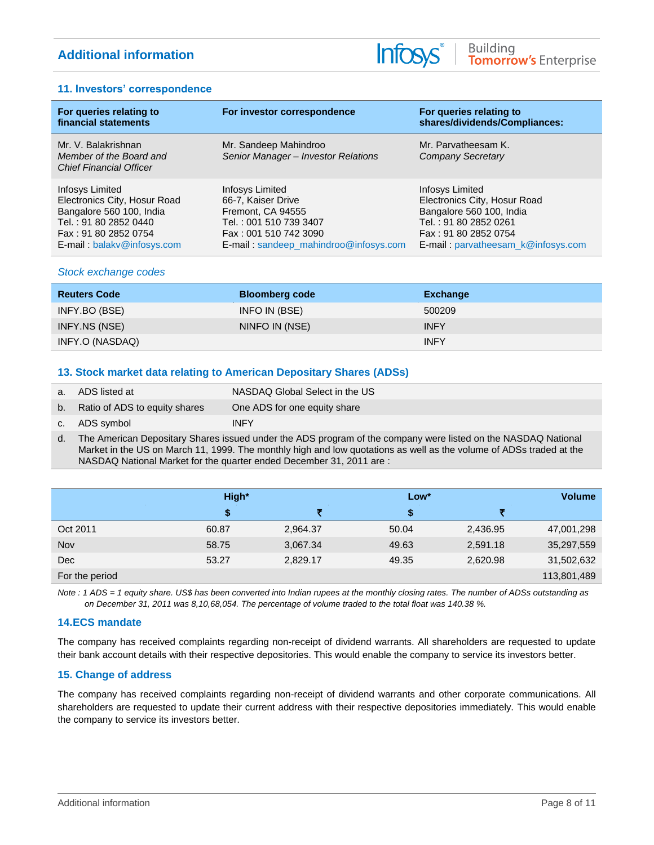## **11. Investors' correspondence**

| For queries relating to<br>financial statements                                                                              | For investor correspondence                                                                                   | For queries relating to<br>shares/dividends/Compliances:                                                                            |
|------------------------------------------------------------------------------------------------------------------------------|---------------------------------------------------------------------------------------------------------------|-------------------------------------------------------------------------------------------------------------------------------------|
| Mr. V. Balakrishnan<br>Member of the Board and<br><b>Chief Financial Officer</b>                                             | Mr. Sandeep Mahindroo<br>Senior Manager - Investor Relations                                                  | Mr. Parvatheesam K.<br>Company Secretary                                                                                            |
| Infosys Limited<br>Electronics City, Hosur Road<br>Bangalore 560 100, India<br>Tel.: 91 80 2852 0440<br>Fax: 91 80 2852 0754 | Infosys Limited<br>66-7, Kaiser Drive<br>Fremont, CA 94555<br>Tel.: 001 510 739 3407<br>Fax: 001 510 742 3090 | <b>Infosys Limited</b><br>Electronics City, Hosur Road<br>Bangalore 560 100, India<br>Tel.: 91 80 2852 0261<br>Fax: 91 80 2852 0754 |
| E-mail: balaky@infosys.com                                                                                                   | E-mail: sandeep_mahindroo@infosys.com                                                                         | E-mail: parvatheesam k@infosys.com                                                                                                  |

## *Stock exchange codes*

| <b>Reuters Code</b> | <b>Bloomberg code</b> | Exchange    |
|---------------------|-----------------------|-------------|
| INFY.BO (BSE)       | INFO IN (BSE)         | 500209      |
| INFY.NS (NSE)       | NINFO IN (NSE)        | <b>INFY</b> |
| INFY.O (NASDAQ)     |                       | <b>INFY</b> |

## **13. Stock market data relating to American Depositary Shares (ADSs)**

| a. ADS listed at                 | NASDAQ Global Select in the US |
|----------------------------------|--------------------------------|
| b. Ratio of ADS to equity shares | One ADS for one equity share   |
| c. ADS symbol                    | <b>INFY</b>                    |

d. The American Depositary Shares issued under the ADS program of the company were listed on the NASDAQ National Market in the US on March 11, 1999. The monthly high and low quotations as well as the volume of ADSs traded at the NASDAQ National Market for the quarter ended December 31, 2011 are :

|                | High* |          | Low*  |          | <b>Volume</b> |
|----------------|-------|----------|-------|----------|---------------|
|                | S     |          |       |          |               |
| Oct 2011       | 60.87 | 2,964.37 | 50.04 | 2,436.95 | 47,001,298    |
| Nov            | 58.75 | 3,067.34 | 49.63 | 2,591.18 | 35,297,559    |
| Dec            | 53.27 | 2,829.17 | 49.35 | 2,620.98 | 31,502,632    |
| For the period |       |          |       |          | 113,801,489   |

*Note : 1 ADS = 1 equity share. US\$ has been converted into Indian rupees at the monthly closing rates. The number of ADSs outstanding as on December 31, 2011 was 8,10,68,054. The percentage of volume traded to the total float was 140.38 %.*

## **14.ECS mandate**

The company has received complaints regarding non-receipt of dividend warrants. All shareholders are requested to update their bank account details with their respective depositories. This would enable the company to service its investors better.

## **15. Change of address**

The company has received complaints regarding non-receipt of dividend warrants and other corporate communications. All shareholders are requested to update their current address with their respective depositories immediately. This would enable the company to service its investors better.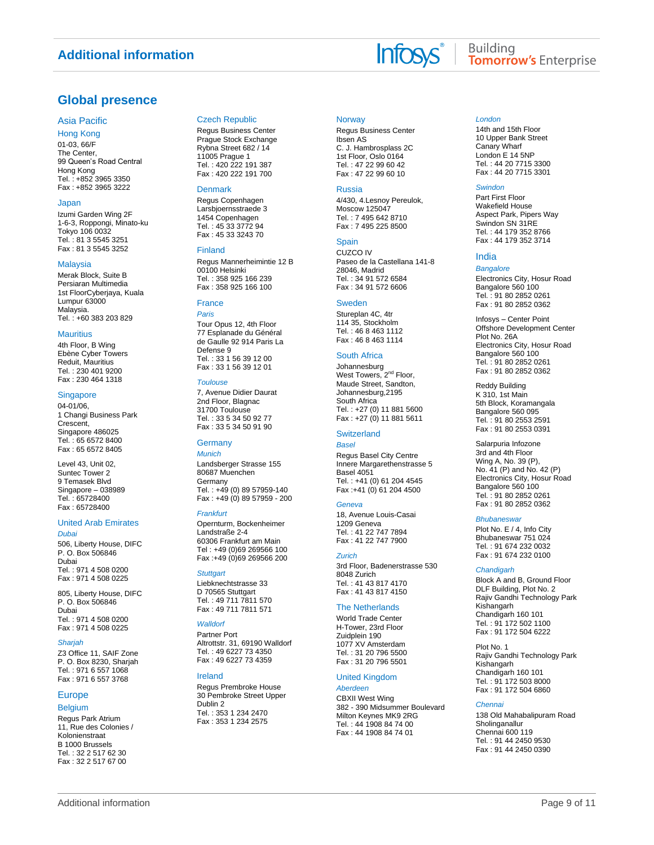## **Global presence**

#### Asia Pacific

Hong Kong

01-03, 66/F The Center, 99 Queen's Road Central Hong Kong Tel. : +852 3965 3350 Fax : +852 3965 3222

#### Japan

Izumi Garden Wing 2F 1-6-3, Roppongi, Minato-ku Tokyo 106 0032 Tel. : 81 3 5545 3251 Fax : 81 3 5545 3252

#### **Malaysia**

Merak Block, Suite B Persiaran Multimedia 1st FloorCyberjaya, Kuala Lumpur 63000 Malaysia. Tel. : +60 383 203 829

#### **Mauritius**

4th Floor, B Wing Ebène Cyber Towers Reduit, Mauritius Tel. : 230 401 9200 Fax : 230 464 1318

#### **Singapore**

04-01/06, 1 Changi Business Park Crescent, Singapore 486025 Tel. : 65 6572 8400 Fax : 65 6572 8405

Level 43, Unit 02, Suntec Tower 2 9 Temasek Blvd Singapore – 038989 Tel. : 65728400 Fax : 65728400

#### United Arab Emirates

*Dubai* 506, Liberty House, DIFC P. O. Box 506846 Dubai Tel. : 971 4 508 0200 Fax : 971 4 508 0225

805, Liberty House, DIFC P. O. Box 506846 Dubai Tel. : 971 4 508 0200 Fax : 971 4 508 0225

#### *Sharjah*

Z3 Office 11, SAIF Zone P. O. Box 8230, Sharjah Tel. : 971 6 557 1068 Fax : 971 6 557 3768

#### Europe

#### **Belgium**

Regus Park Atrium 11, Rue des Colonies / Kolonienstraat B 1000 Brussels Tel. : 32 2 517 62 30 Fax : 32 2 517 67 00

#### Czech Republic

Regus Business Center Prague Stock Exchange Rybna Street 682 / 14 11005 Prague 1 Tel. : 420 222 191 387 Fax : 420 222 191 700

#### Denmark

Regus Copenhagen Larsbjoernsstraede 3 1454 Copenhagen Tel. : 45 33 3772 94 Fax : 45 33 3243 70

#### Finland

Regus Mannerheimintie 12 B 00100 Helsinki Tel. : 358 925 166 239 Fax : 358 925 166 100

### France

*Paris* Tour Opus 12, 4th Floor 77 Esplanade du Général de Gaulle 92 914 Paris La Defense 9 Tel. : 33 1 56 39 12 00 Fax : 33 1 56 39 12 01

#### *Toulouse*

7, Avenue Didier Daurat 2nd Floor, Blagnac 31700 Toulouse Tel. : 33 5 34 50 92 77 Fax : 33 5 34 50 91 90

#### **Germany**

*Munich* Landsberger Strasse 155 80687 Muenchen **Germany** Tel. : +49 (0) 89 57959-140 Fax : +49 (0) 89 57959 - 200

#### *Frankfurt*

Opernturm, Bockenheimer Landstraße 2-4 60306 Frankfurt am Main Tel : +49 (0)69 269566 100 Fax :+49 (0)69 269566 200

#### *Stuttgart*

Liebknechtstrasse 33 D 70565 Stuttgart Tel. : 49 711 7811 570 Fax : 49 711 7811 571

#### *Walldorf*

Partner Port Altrottstr. 31, 69190 Walldorf Tel. : 49 6227 73 4350 Fax : 49 6227 73 4359

#### Ireland

Regus Prembroke House 30 Pembroke Street Upper Dublin 2 Tel. : 353 1 234 2470 Fax : 353 1 234 2575

#### **Norway**

Regus Business Center Ibsen AS C. J. Hambrosplass 2C 1st Floor, Oslo 0164 Tel. : 47 22 99 60 42 Fax : 47 22 99 60 10

#### Russia

4/430, 4.Lesnoy Pereulok, Moscow 125047 Tel. : 7 495 642 8710 Fax : 7 495 225 8500

#### **Spain**

CUZCO IV Paseo de la Castellana 141-8 28046, Madrid Tel. : 34 91 572 6584 Fax : 34 91 572 6606

#### Sweden

Stureplan 4C, 4tr 114 35, Stockholm Tel. : 46 8 463 1112 Fax : 46 8 463 1114

#### South Africa

Johannesburg West Towers, 2<sup>nd</sup> Floor, Maude Street, Sandton, Johannesburg,2195 South Africa Tel. : +27 (0) 11 881 5600 Fax : +27 (0) 11 881 5611

#### **Switzerland** *Basel*

Regus Basel City Centre Innere Margarethenstrasse 5 Basel 4051 Tel. : +41 (0) 61 204 4545 Fax :+41 (0) 61 204 4500

#### *Geneva*

18, Avenue Louis-Casai 1209 Geneva Tel. : 41 22 747 7894 Fax : 41 22 747 7900

#### *Zurich*

3rd Floor, Badenerstrasse 530 8048 Zurich Tel. : 41 43 817 4170 Fax : 41 43 817 4150

#### The Netherlands

World Trade Center H-Tower, 23rd Floor Zuidplein 190 1077 XV Amsterdam Tel. : 31 20 796 5500 Fax : 31 20 796 5501

#### United Kingdom

*Aberdeen* CBXII West Wing 382 - 390 Midsummer Boulevard Milton Keynes MK9 2RG Tel. : 44 1908 84 74 00 Fax : 44 1908 84 74 01

#### *London*

14th and 15th Floor 10 Upper Bank Street Canary Wharf London E 14 5NP Tel. : 44 20 7715 3300 Fax : 44 20 7715 3301

#### *Swindon*

Part First Floor Wakefield House Aspect Park, Pipers Way Swindon SN 31RE Tel. : 44 179 352 8766 Fax : 44 179 352 3714

#### India

*Bangalore* Electronics City, Hosur Road Bangalore 560 100 Tel. : 91 80 2852 0261 Fax : 91 80 2852 0362

Infosys – Center Point Offshore Development Center Plot No. 26A Electronics City, Hosur Road Bangalore 560 100 Tel. : 91 80 2852 0261 Fax : 91 80 2852 0362

Reddy Building K 310, 1st Main 5th Block, Koramangala Bangalore 560 095 Tel. : 91 80 2553 2591 Fax : 91 80 2553 0391

Salarpuria Infozone 3rd and 4th Floor Wing A, No. 39 (P), No. 41 (P) and No. 42 (P) Electronics City, Hosur Road Bangalore 560 100 Tel. : 91 80 2852 0261 Fax : 91 80 2852 0362

#### *Bhubaneswar*

Plot No. E / 4, Info City Bhubaneswar 751 024 Tel. : 91 674 232 0032 Fax : 91 674 232 0100

#### *Chandigarh*

Block A and B, Ground Floor DLF Building, Plot No. 2 Rajiv Gandhi Technology Park Kishangarh Chandigarh 160 101 Tel. : 91 172 502 1100 Fax : 91 172 504 6222

Plot No. 1 Rajiv Gandhi Technology Park Kishangarh Chandigarh 160 101 Tel. : 91 172 503 8000 Fax : 91 172 504 6860

#### *Chennai*

138 Old Mahabalipuram Road Sholinganallur Chennai 600 119 Tel. : 91 44 2450 9530 Fax : 91 44 2450 0390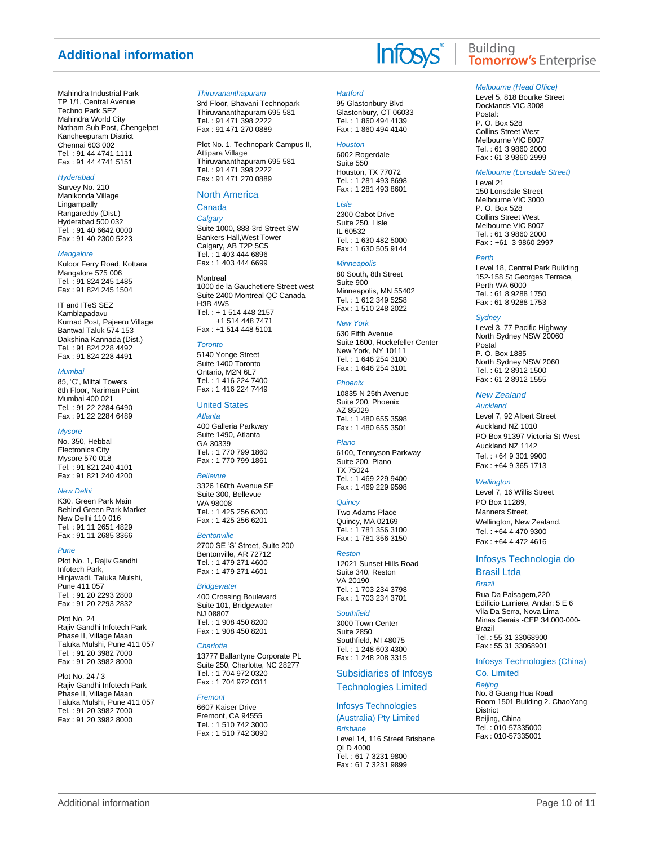Mahindra Industrial Park TP 1/1, Central Avenue Techno Park SEZ Mahindra World City Natham Sub Post, Chengelpet Kancheepuram District Chennai 603 002 Tel. : 91 44 4741 1111 Fax : 91 44 4741 5151

#### *Hyderabad*

Survey No. 210 Manikonda Village Lingampally Rangareddy (Dist.) Hyderabad 500 032 Tel. : 91 40 6642 0000 Fax : 91 40 2300 5223

#### *Mangalore*

Kuloor Ferry Road, Kottara Mangalore 575 006 Tel. : 91 824 245 1485 Fax : 91 824 245 1504

IT and ITeS SEZ Kamblapadavu Kurnad Post, Pajeeru Village Bantwal Taluk 574 153 Dakshina Kannada (Dist.) Tel. : 91 824 228 4492 Fax : 91 824 228 4491

#### *Mumbai*

85, 'C', Mittal Towers 8th Floor, Nariman Point Mumbai 400 021 Tel. : 91 22 2284 6490 Fax : 91 22 2284 6489

#### *Mysore*

No. 350, Hebbal Electronics City Mysore 570 018 Tel. : 91 821 240 4101 Fax : 91 821 240 4200

#### *New Delhi*

K30, Green Park Main Behind Green Park Market New Delhi 110 016 Tel. : 91 11 2651 4829 Fax : 91 11 2685 3366

#### *Pune*

Plot No. 1, Rajiv Gandhi Infotech Park, Hinjawadi, Taluka Mulshi, Pune 411 057 Tel. : 91 20 2293 2800 Fax : 91 20 2293 2832

Plot No. 24 Rajiv Gandhi Infotech Park Phase II, Village Maan Taluka Mulshi, Pune 411 057 Tel. : 91 20 3982 7000 Fax : 91 20 3982 8000

Plot No. 24 / 3 Rajiv Gandhi Infotech Park Phase II, Village Maan Taluka Mulshi, Pune 411 057 Tel. : 91 20 3982 7000 Fax : 91 20 3982 8000

#### *Thiruvananthapuram*

3rd Floor, Bhavani Technopark Thiruvananthapuram 695 581 Tel. : 91 471 398 2222 Fax : 91 471 270 0889

Plot No. 1, Technopark Campus II, Attipara Village Thiruvananthapuram 695 581 Tel. : 91 471 398 2222 Fax : 91 471 270 0889

#### North America Canada

## *Calgary*

Suite 1000, 888-3rd Street SW Bankers Hall,West Tower Calgary, AB T2P 5C5 Tel. : 1 403 444 6896 Fax : 1 403 444 6699

#### **Montreal**

1000 de la Gauchetiere Street west Suite 2400 Montreal QC Canada H3B 4W5 Tel. : + 1 514 448 2157 +1 514 448 7471 Fax : +1 514 448 5101

#### *Toronto*

5140 Yonge Street Suite 1400 Toronto Ontario, M2N 6L7 Tel. : 1 416 224 7400 Fax : 1 416 224 7449

#### United States

*Atlanta* 400 Galleria Parkway Suite 1490, Atlanta GA 30339 Tel. : 1 770 799 1860 Fax : 1 770 799 1861

#### *Bellevue*

3326 160th Avenue SE Suite 300, Bellevue WA 98008 Tel. : 1 425 256 6200 Fax : 1 425 256 6201

#### *Bentonville*

2700 SE 'S' Street, Suite 200 Bentonville, AR 72712 Tel. : 1 479 271 4600 Fax : 1 479 271 4601

#### *Bridgewater*

400 Crossing Boulevard Suite 101, Bridgewater NJ 08807 Tel. : 1 908 450 8200 Fax : 1 908 450 8201

#### *Charlotte*

13777 Ballantyne Corporate PL Suite 250, Charlotte, NC 28277 Tel. : 1 704 972 0320 Fax : 1 704 972 0311

#### *Fremont*

6607 Kaiser Drive Fremont, CA 94555 Tel. : 1 510 742 3000 Fax : 1 510 742 3090

### *Hartford*

95 Glastonbury Blvd Glastonbury, CT 06033 Tel. : 1 860 494 4139 Fax : 1 860 494 4140

### *Houston*

6002 Rogerdale Suite 550 Houston, TX 77072 Tel. : 1 281 493 8698 Fax : 1 281 493 8601

#### *Lisle*

2300 Cabot Drive Suite 250, Lisle IL 60532 Tel. : 1 630 482 5000 Fax : 1 630 505 9144

#### *Minneapolis*

80 South, 8th Street Suite 900 Minneapolis, MN 55402 Tel. : 1 612 349 5258 Fax : 1 510 248 2022

#### *New York*

630 Fifth Avenue Suite 1600, Rockefeller Center New York, NY 10111 Tel. : 1 646 254 3100 Fax : 1 646 254 3101

#### *Phoenix*

10835 N 25th Avenue Suite 200, Phoenix AZ 85029 Tel. : 1 480 655 3598 Fax : 1 480 655 3501

#### *Plano*

6100, Tennyson Parkway Suite 200, Plano TX 75024 Tel. : 1 469 229 9400 Fax : 1 469 229 9598

#### *Quincy*

Two Adams Place Quincy, MA 02169 Tel. : 1 781 356 3100 Fax : 1 781 356 3150

#### *Reston*

12021 Sunset Hills Road Suite 340, Reston VA 20190 Tel. : 1 703 234 3798 Fax : 1 703 234 3701

#### *Southfield*

3000 Town Center Suite 2850 Southfield, MI 48075 Tel. : 1 248 603 4300 Fax : 1 248 208 3315

## Subsidiaries of Infosys

### Technologies Limited

#### Infosys Technologies

(Australia) Pty Limited *Brisbane* Level 14, 116 Street Brisbane QLD 4000 Tel. : 61 7 3231 9800 Fax : 61 7 3231 9899

## **Building Tomorrow's Enterprise**

#### *Melbourne (Head Office)*

Level 5, 818 Bourke Street Docklands VIC 3008 Postal: P. O. Box 528 Collins Street West Melbourne VIC 8007 Tel. : 61 3 9860 2000 Fax : 61 3 9860 2999

#### *Melbourne (Lonsdale Street)*

Level 21 150 Lonsdale Street Melbourne VIC 3000 P. O. Box 528 Collins Street West Melbourne VIC 8007 Tel. : 61 3 9860 2000 Fax : +61 3 9860 2997

#### *Perth*

Level 18, Central Park Building 152-158 St Georges Terrace, Perth WA 6000 Tel. : 61 8 9288 1750 Fax : 61 8 9288 1753

#### *Sydney*

Level 3, 77 Pacific Highway North Sydney NSW 20060 Postal P. O. Box 1885 North Sydney NSW 2060 Tel. : 61 2 8912 1500 Fax : 61 2 8912 1555

#### *New Zealand*

*Auckland* Level 7, 92 Albert Street Auckland NZ 1010 PO Box 91397 Victoria St West Auckland NZ 1142 Tel. : +64 9 301 9900

#### *Wellington*

Level 7, 16 Willis Street PO Box 11289, Manners Street Wellington, New Zealand. Tel. : +64 4 470 9300 Fax : +64 4 472 4616

Fax : +64 9 365 1713

#### Infosys Technologia do

## Brasil Ltda

*Brazil*

Rua Da Paisagem,220 Edificio Lumiere, Andar: 5 E 6 Vila Da Serra, Nova Lima Minas Gerais -CEP 34.000-000- Brazil Tel. : 55 31 33068900 Fax : 55 31 33068901

#### Infosys Technologies (China) Co. Limited

*Beijing* No. 8 Guang Hua Road Room 1501 Building 2. ChaoYang District Beijing, China Tel. : 010-57335000 Fax : 010-57335001